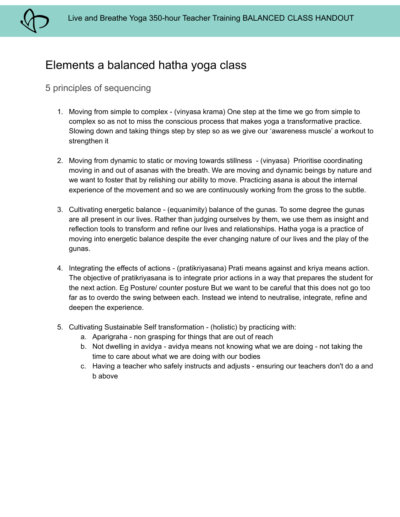

# Elements a balanced hatha yoga class

## 5 principles of sequencing

- 1. Moving from simple to complex (vinyasa krama) One step at the time we go from simple to complex so as not to miss the conscious process that makes yoga a transformative practice. Slowing down and taking things step by step so as we give our 'awareness muscle' a workout to strengthen it
- 2. Moving from dynamic to static or moving towards stillness (vinyasa) Prioritise coordinating moving in and out of asanas with the breath. We are moving and dynamic beings by nature and we want to foster that by relishing our ability to move. Practicing asana is about the internal experience of the movement and so we are continuously working from the gross to the subtle.
- 3. Cultivating energetic balance (equanimity) balance of the gunas. To some degree the gunas are all present in our lives. Rather than judging ourselves by them, we use them as insight and reflection tools to transform and refine our lives and relationships. Hatha yoga is a practice of moving into energetic balance despite the ever changing nature of our lives and the play of the gunas.
- 4. Integrating the effects of actions (pratikriyasana) Prati means against and kriya means action. The objective of pratikriyasana is to integrate prior actions in a way that prepares the student for the next action. Eg Posture/ counter posture But we want to be careful that this does not go too far as to overdo the swing between each. Instead we intend to neutralise, integrate, refine and deepen the experience.
- 5. Cultivating Sustainable Self transformation (holistic) by practicing with:
	- a. Aparigraha non grasping for things that are out of reach
	- b. Not dwelling in avidya avidya means not knowing what we are doing not taking the time to care about what we are doing with our bodies
	- c. Having a teacher who safely instructs and adjusts ensuring our teachers don't do a and b above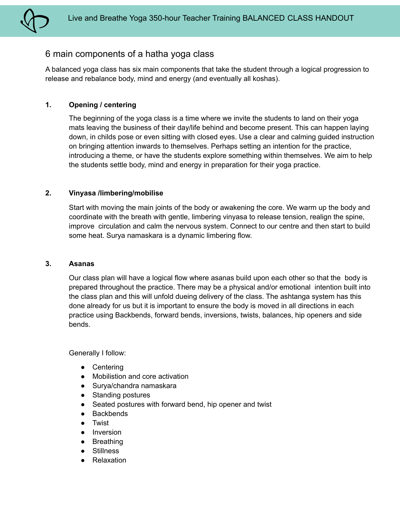

### 6 main components of a hatha yoga class

A balanced yoga class has six main components that take the student through a logical progression to release and rebalance body, mind and energy (and eventually all koshas).

#### **1. Opening / centering**

The beginning of the yoga class is a time where we invite the students to land on their yoga mats leaving the business of their day/life behind and become present. This can happen laying down, in childs pose or even sitting with closed eyes. Use a clear and calming guided instruction on bringing attention inwards to themselves. Perhaps setting an intention for the practice, introducing a theme, or have the students explore something within themselves. We aim to help the students settle body, mind and energy in preparation for their yoga practice.

#### **2. Vinyasa /limbering/mobilise**

Start with moving the main joints of the body or awakening the core. We warm up the body and coordinate with the breath with gentle, limbering vinyasa to release tension, realign the spine, improve circulation and calm the nervous system. Connect to our centre and then start to build some heat. Surya namaskara is a dynamic limbering flow.

#### **3. Asanas**

Our class plan will have a logical flow where asanas build upon each other so that the body is prepared throughout the practice. There may be a physical and/or emotional intention built into the class plan and this will unfold dueing delivery of the class. The ashtanga system has this done already for us but it is important to ensure the body is moved in all directions in each practice using Backbends, forward bends, inversions, twists, balances, hip openers and side bends.

Generally I follow:

- Centering
- Mobilistion and core activation
- Surya/chandra namaskara
- Standing postures
- Seated postures with forward bend, hip opener and twist
- Backbends
- Twist
- Inversion
- Breathing
- Stillness
- Relaxation